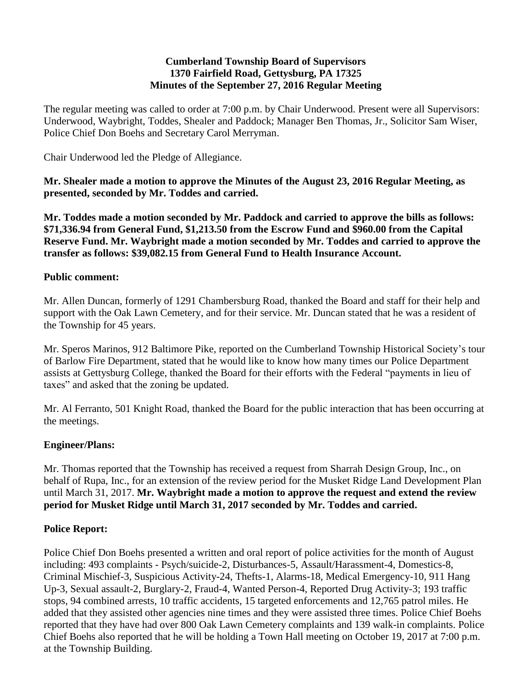#### **Cumberland Township Board of Supervisors 1370 Fairfield Road, Gettysburg, PA 17325 Minutes of the September 27, 2016 Regular Meeting**

The regular meeting was called to order at 7:00 p.m. by Chair Underwood. Present were all Supervisors: Underwood, Waybright, Toddes, Shealer and Paddock; Manager Ben Thomas, Jr., Solicitor Sam Wiser, Police Chief Don Boehs and Secretary Carol Merryman.

Chair Underwood led the Pledge of Allegiance.

**Mr. Shealer made a motion to approve the Minutes of the August 23, 2016 Regular Meeting, as presented, seconded by Mr. Toddes and carried.**

**Mr. Toddes made a motion seconded by Mr. Paddock and carried to approve the bills as follows: \$71,336.94 from General Fund, \$1,213.50 from the Escrow Fund and \$960.00 from the Capital Reserve Fund. Mr. Waybright made a motion seconded by Mr. Toddes and carried to approve the transfer as follows: \$39,082.15 from General Fund to Health Insurance Account.**

## **Public comment:**

Mr. Allen Duncan, formerly of 1291 Chambersburg Road, thanked the Board and staff for their help and support with the Oak Lawn Cemetery, and for their service. Mr. Duncan stated that he was a resident of the Township for 45 years.

Mr. Speros Marinos, 912 Baltimore Pike, reported on the Cumberland Township Historical Society's tour of Barlow Fire Department, stated that he would like to know how many times our Police Department assists at Gettysburg College, thanked the Board for their efforts with the Federal "payments in lieu of taxes" and asked that the zoning be updated.

Mr. Al Ferranto, 501 Knight Road, thanked the Board for the public interaction that has been occurring at the meetings.

## **Engineer/Plans:**

Mr. Thomas reported that the Township has received a request from Sharrah Design Group, Inc., on behalf of Rupa, Inc., for an extension of the review period for the Musket Ridge Land Development Plan until March 31, 2017. **Mr. Waybright made a motion to approve the request and extend the review period for Musket Ridge until March 31, 2017 seconded by Mr. Toddes and carried.**

## **Police Report:**

Police Chief Don Boehs presented a written and oral report of police activities for the month of August including: 493 complaints - Psych/suicide-2, Disturbances-5, Assault/Harassment-4, Domestics-8, Criminal Mischief-3, Suspicious Activity-24, Thefts-1, Alarms-18, Medical Emergency-10, 911 Hang Up-3, Sexual assault-2, Burglary-2, Fraud-4, Wanted Person-4, Reported Drug Activity-3; 193 traffic stops, 94 combined arrests, 10 traffic accidents, 15 targeted enforcements and 12,765 patrol miles. He added that they assisted other agencies nine times and they were assisted three times. Police Chief Boehs reported that they have had over 800 Oak Lawn Cemetery complaints and 139 walk-in complaints. Police Chief Boehs also reported that he will be holding a Town Hall meeting on October 19, 2017 at 7:00 p.m. at the Township Building.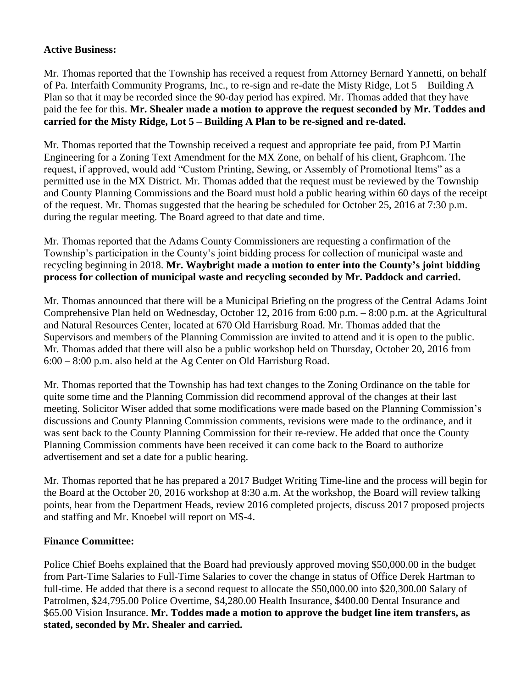#### **Active Business:**

Mr. Thomas reported that the Township has received a request from Attorney Bernard Yannetti, on behalf of Pa. Interfaith Community Programs, Inc., to re-sign and re-date the Misty Ridge, Lot 5 – Building A Plan so that it may be recorded since the 90-day period has expired. Mr. Thomas added that they have paid the fee for this. **Mr. Shealer made a motion to approve the request seconded by Mr. Toddes and carried for the Misty Ridge, Lot 5 – Building A Plan to be re-signed and re-dated.**

Mr. Thomas reported that the Township received a request and appropriate fee paid, from PJ Martin Engineering for a Zoning Text Amendment for the MX Zone, on behalf of his client, Graphcom. The request, if approved, would add "Custom Printing, Sewing, or Assembly of Promotional Items" as a permitted use in the MX District. Mr. Thomas added that the request must be reviewed by the Township and County Planning Commissions and the Board must hold a public hearing within 60 days of the receipt of the request. Mr. Thomas suggested that the hearing be scheduled for October 25, 2016 at 7:30 p.m. during the regular meeting. The Board agreed to that date and time.

Mr. Thomas reported that the Adams County Commissioners are requesting a confirmation of the Township's participation in the County's joint bidding process for collection of municipal waste and recycling beginning in 2018. **Mr. Waybright made a motion to enter into the County's joint bidding process for collection of municipal waste and recycling seconded by Mr. Paddock and carried.**

Mr. Thomas announced that there will be a Municipal Briefing on the progress of the Central Adams Joint Comprehensive Plan held on Wednesday, October 12, 2016 from 6:00 p.m. – 8:00 p.m. at the Agricultural and Natural Resources Center, located at 670 Old Harrisburg Road. Mr. Thomas added that the Supervisors and members of the Planning Commission are invited to attend and it is open to the public. Mr. Thomas added that there will also be a public workshop held on Thursday, October 20, 2016 from 6:00 – 8:00 p.m. also held at the Ag Center on Old Harrisburg Road.

Mr. Thomas reported that the Township has had text changes to the Zoning Ordinance on the table for quite some time and the Planning Commission did recommend approval of the changes at their last meeting. Solicitor Wiser added that some modifications were made based on the Planning Commission's discussions and County Planning Commission comments, revisions were made to the ordinance, and it was sent back to the County Planning Commission for their re-review. He added that once the County Planning Commission comments have been received it can come back to the Board to authorize advertisement and set a date for a public hearing.

Mr. Thomas reported that he has prepared a 2017 Budget Writing Time-line and the process will begin for the Board at the October 20, 2016 workshop at 8:30 a.m. At the workshop, the Board will review talking points, hear from the Department Heads, review 2016 completed projects, discuss 2017 proposed projects and staffing and Mr. Knoebel will report on MS-4.

## **Finance Committee:**

Police Chief Boehs explained that the Board had previously approved moving \$50,000.00 in the budget from Part-Time Salaries to Full-Time Salaries to cover the change in status of Office Derek Hartman to full-time. He added that there is a second request to allocate the \$50,000.00 into \$20,300.00 Salary of Patrolmen, \$24,795.00 Police Overtime, \$4,280.00 Health Insurance, \$400.00 Dental Insurance and \$65.00 Vision Insurance. **Mr. Toddes made a motion to approve the budget line item transfers, as stated, seconded by Mr. Shealer and carried.**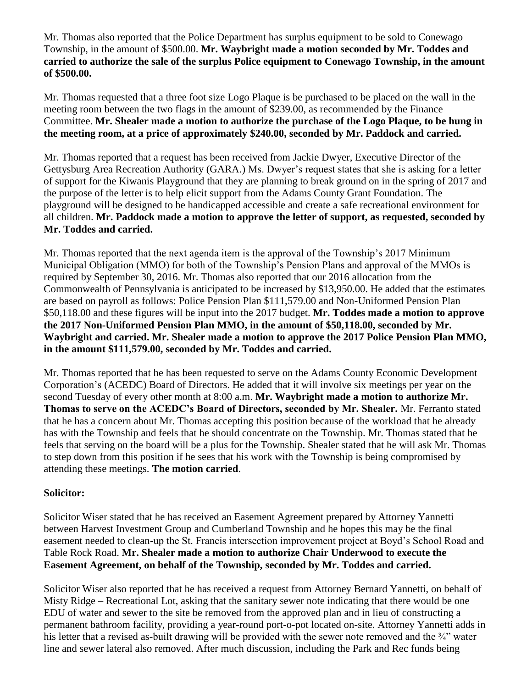Mr. Thomas also reported that the Police Department has surplus equipment to be sold to Conewago Township, in the amount of \$500.00. **Mr. Waybright made a motion seconded by Mr. Toddes and carried to authorize the sale of the surplus Police equipment to Conewago Township, in the amount of \$500.00.**

Mr. Thomas requested that a three foot size Logo Plaque is be purchased to be placed on the wall in the meeting room between the two flags in the amount of \$239.00, as recommended by the Finance Committee. **Mr. Shealer made a motion to authorize the purchase of the Logo Plaque, to be hung in the meeting room, at a price of approximately \$240.00, seconded by Mr. Paddock and carried.**

Mr. Thomas reported that a request has been received from Jackie Dwyer, Executive Director of the Gettysburg Area Recreation Authority (GARA.) Ms. Dwyer's request states that she is asking for a letter of support for the Kiwanis Playground that they are planning to break ground on in the spring of 2017 and the purpose of the letter is to help elicit support from the Adams County Grant Foundation. The playground will be designed to be handicapped accessible and create a safe recreational environment for all children. **Mr. Paddock made a motion to approve the letter of support, as requested, seconded by Mr. Toddes and carried.** 

Mr. Thomas reported that the next agenda item is the approval of the Township's 2017 Minimum Municipal Obligation (MMO) for both of the Township's Pension Plans and approval of the MMOs is required by September 30, 2016. Mr. Thomas also reported that our 2016 allocation from the Commonwealth of Pennsylvania is anticipated to be increased by \$13,950.00. He added that the estimates are based on payroll as follows: Police Pension Plan \$111,579.00 and Non-Uniformed Pension Plan \$50,118.00 and these figures will be input into the 2017 budget. **Mr. Toddes made a motion to approve the 2017 Non-Uniformed Pension Plan MMO, in the amount of \$50,118.00, seconded by Mr. Waybright and carried. Mr. Shealer made a motion to approve the 2017 Police Pension Plan MMO, in the amount \$111,579.00, seconded by Mr. Toddes and carried.**

Mr. Thomas reported that he has been requested to serve on the Adams County Economic Development Corporation's (ACEDC) Board of Directors. He added that it will involve six meetings per year on the second Tuesday of every other month at 8:00 a.m. **Mr. Waybright made a motion to authorize Mr. Thomas to serve on the ACEDC's Board of Directors, seconded by Mr. Shealer.** Mr. Ferranto stated that he has a concern about Mr. Thomas accepting this position because of the workload that he already has with the Township and feels that he should concentrate on the Township. Mr. Thomas stated that he feels that serving on the board will be a plus for the Township. Shealer stated that he will ask Mr. Thomas to step down from this position if he sees that his work with the Township is being compromised by attending these meetings. **The motion carried**.

## **Solicitor:**

Solicitor Wiser stated that he has received an Easement Agreement prepared by Attorney Yannetti between Harvest Investment Group and Cumberland Township and he hopes this may be the final easement needed to clean-up the St. Francis intersection improvement project at Boyd's School Road and Table Rock Road. **Mr. Shealer made a motion to authorize Chair Underwood to execute the Easement Agreement, on behalf of the Township, seconded by Mr. Toddes and carried.**

Solicitor Wiser also reported that he has received a request from Attorney Bernard Yannetti, on behalf of Misty Ridge – Recreational Lot, asking that the sanitary sewer note indicating that there would be one EDU of water and sewer to the site be removed from the approved plan and in lieu of constructing a permanent bathroom facility, providing a year-round port-o-pot located on-site. Attorney Yannetti adds in his letter that a revised as-built drawing will be provided with the sewer note removed and the  $\frac{3}{4}$ " water line and sewer lateral also removed. After much discussion, including the Park and Rec funds being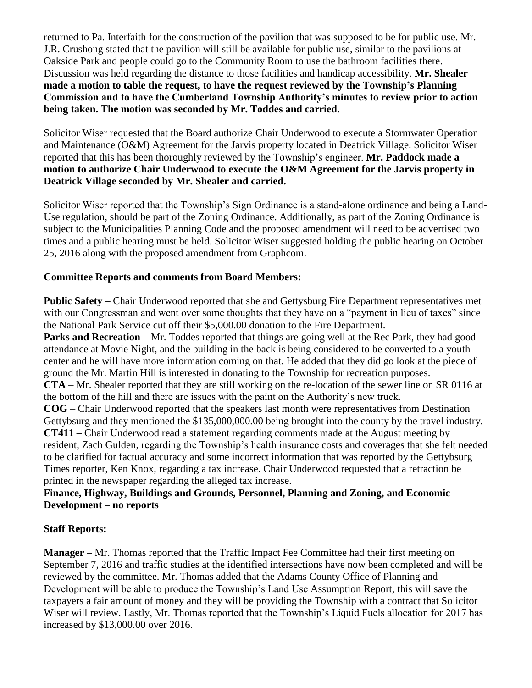returned to Pa. Interfaith for the construction of the pavilion that was supposed to be for public use. Mr. J.R. Crushong stated that the pavilion will still be available for public use, similar to the pavilions at Oakside Park and people could go to the Community Room to use the bathroom facilities there. Discussion was held regarding the distance to those facilities and handicap accessibility. **Mr. Shealer made a motion to table the request, to have the request reviewed by the Township's Planning Commission and to have the Cumberland Township Authority's minutes to review prior to action being taken. The motion was seconded by Mr. Toddes and carried.**

Solicitor Wiser requested that the Board authorize Chair Underwood to execute a Stormwater Operation and Maintenance (O&M) Agreement for the Jarvis property located in Deatrick Village. Solicitor Wiser reported that this has been thoroughly reviewed by the Township's engineer. **Mr. Paddock made a motion to authorize Chair Underwood to execute the O&M Agreement for the Jarvis property in Deatrick Village seconded by Mr. Shealer and carried.**

Solicitor Wiser reported that the Township's Sign Ordinance is a stand-alone ordinance and being a Land-Use regulation, should be part of the Zoning Ordinance. Additionally, as part of the Zoning Ordinance is subject to the Municipalities Planning Code and the proposed amendment will need to be advertised two times and a public hearing must be held. Solicitor Wiser suggested holding the public hearing on October 25, 2016 along with the proposed amendment from Graphcom.

## **Committee Reports and comments from Board Members:**

**Public Safety –** Chair Underwood reported that she and Gettysburg Fire Department representatives met with our Congressman and went over some thoughts that they have on a "payment in lieu of taxes" since the National Park Service cut off their \$5,000.00 donation to the Fire Department.

**Parks and Recreation** – Mr. Toddes reported that things are going well at the Rec Park, they had good attendance at Movie Night, and the building in the back is being considered to be converted to a youth center and he will have more information coming on that. He added that they did go look at the piece of ground the Mr. Martin Hill is interested in donating to the Township for recreation purposes.

**CTA** – Mr. Shealer reported that they are still working on the re-location of the sewer line on SR 0116 at the bottom of the hill and there are issues with the paint on the Authority's new truck.

**COG** – Chair Underwood reported that the speakers last month were representatives from Destination Gettybsurg and they mentioned the \$135,000,000.00 being brought into the county by the travel industry. **CT411 –** Chair Underwood read a statement regarding comments made at the August meeting by resident, Zach Gulden, regarding the Township's health insurance costs and coverages that she felt needed to be clarified for factual accuracy and some incorrect information that was reported by the Gettybsurg Times reporter, Ken Knox, regarding a tax increase. Chair Underwood requested that a retraction be printed in the newspaper regarding the alleged tax increase.

# **Finance, Highway, Buildings and Grounds, Personnel, Planning and Zoning, and Economic Development – no reports**

## **Staff Reports:**

**Manager –** Mr. Thomas reported that the Traffic Impact Fee Committee had their first meeting on September 7, 2016 and traffic studies at the identified intersections have now been completed and will be reviewed by the committee. Mr. Thomas added that the Adams County Office of Planning and Development will be able to produce the Township's Land Use Assumption Report, this will save the taxpayers a fair amount of money and they will be providing the Township with a contract that Solicitor Wiser will review. Lastly, Mr. Thomas reported that the Township's Liquid Fuels allocation for 2017 has increased by \$13,000.00 over 2016.